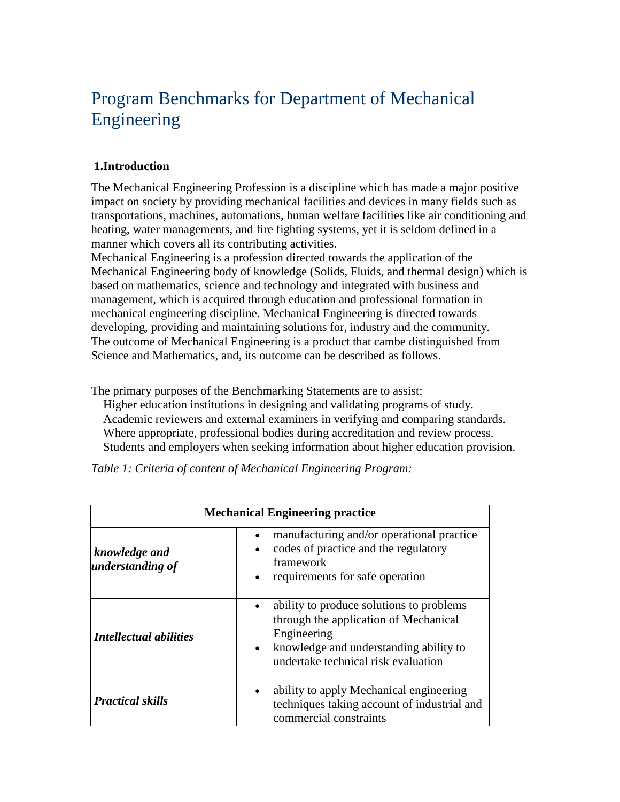# Program Benchmarks for Department of Mechanical Engineering

### **1.Introduction**

The Mechanical Engineering Profession is a discipline which has made a major positive impact on society by providing mechanical facilities and devices in many fields such as transportations, machines, automations, human welfare facilities like air conditioning and heating, water managements, and fire fighting systems, yet it is seldom defined in a manner which covers all its contributing activities.

Mechanical Engineering is a profession directed towards the application of the Mechanical Engineering body of knowledge (Solids, Fluids, and thermal design) which is based on mathematics, science and technology and integrated with business and management, which is acquired through education and professional formation in mechanical engineering discipline. Mechanical Engineering is directed towards developing, providing and maintaining solutions for, industry and the community. The outcome of Mechanical Engineering is a product that cambe distinguished from Science and Mathematics, and, its outcome can be described as follows.

The primary purposes of the Benchmarking Statements are to assist:

 Higher education institutions in designing and validating programs of study. Academic reviewers and external examiners in verifying and comparing standards. Where appropriate, professional bodies during accreditation and review process. Students and employers when seeking information about higher education provision.

| <b>Mechanical Engineering practice</b> |                                                                                                                                                                                                                                                                                                                                       |  |  |  |
|----------------------------------------|---------------------------------------------------------------------------------------------------------------------------------------------------------------------------------------------------------------------------------------------------------------------------------------------------------------------------------------|--|--|--|
| knowledge and<br>understanding of      | manufacturing and/or operational practice<br>codes of practice and the regulatory<br>$\bullet$<br>framework<br>requirements for safe operation<br>ability to produce solutions to problems<br>through the application of Mechanical<br>Engineering<br>• knowledge and understanding ability to<br>undertake technical risk evaluation |  |  |  |
| <b>Intellectual abilities</b>          |                                                                                                                                                                                                                                                                                                                                       |  |  |  |
| <b>Practical skills</b>                | ability to apply Mechanical engineering<br>techniques taking account of industrial and<br>commercial constraints                                                                                                                                                                                                                      |  |  |  |

*Table 1: Criteria of content of Mechanical Engineering Program:*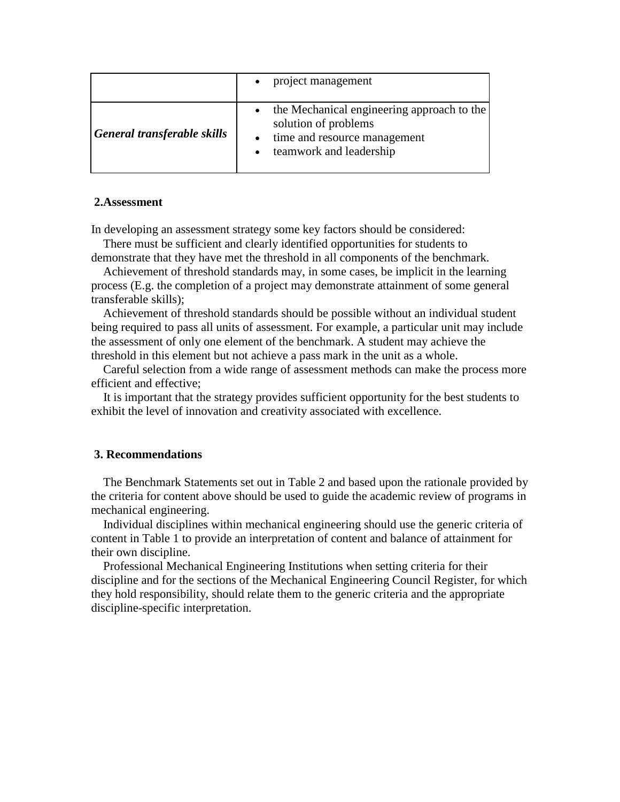|                             | project management                                                                                                            |
|-----------------------------|-------------------------------------------------------------------------------------------------------------------------------|
| General transferable skills | the Mechanical engineering approach to the<br>solution of problems<br>time and resource management<br>teamwork and leadership |

#### **2.Assessment**

In developing an assessment strategy some key factors should be considered:

 There must be sufficient and clearly identified opportunities for students to demonstrate that they have met the threshold in all components of the benchmark.

 Achievement of threshold standards may, in some cases, be implicit in the learning process (E.g. the completion of a project may demonstrate attainment of some general transferable skills);

 Achievement of threshold standards should be possible without an individual student being required to pass all units of assessment. For example, a particular unit may include the assessment of only one element of the benchmark. A student may achieve the threshold in this element but not achieve a pass mark in the unit as a whole.

 Careful selection from a wide range of assessment methods can make the process more efficient and effective;

 It is important that the strategy provides sufficient opportunity for the best students to exhibit the level of innovation and creativity associated with excellence.

#### **3. Recommendations**

 The Benchmark Statements set out in Table 2 and based upon the rationale provided by the criteria for content above should be used to guide the academic review of programs in mechanical engineering.

 Individual disciplines within mechanical engineering should use the generic criteria of content in Table 1 to provide an interpretation of content and balance of attainment for their own discipline.

 Professional Mechanical Engineering Institutions when setting criteria for their discipline and for the sections of the Mechanical Engineering Council Register, for which they hold responsibility, should relate them to the generic criteria and the appropriate discipline-specific interpretation.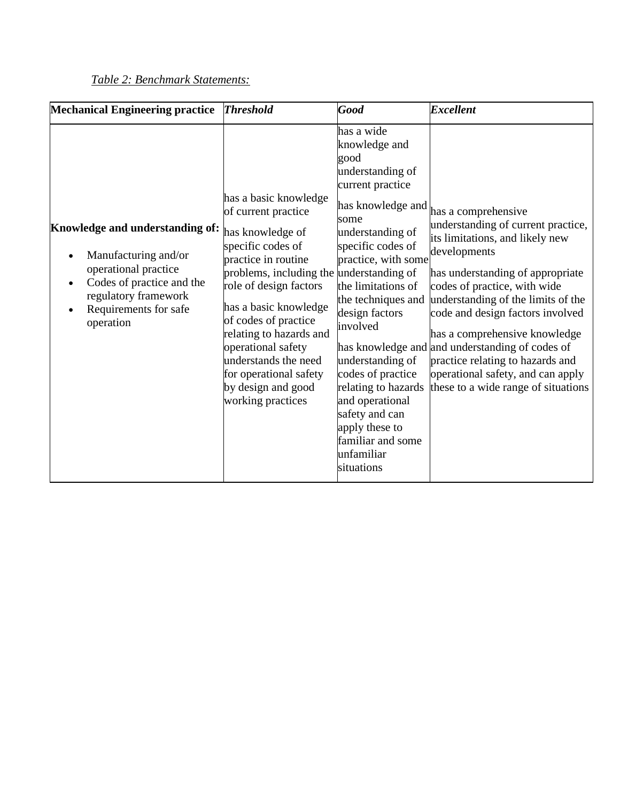## *Table 2: Benchmark Statements:*

| <b>Mechanical Engineering practice</b>                                                                                                                                     | <b>Threshold</b>                                                                                                                                                                                                                                                                                                                                                                  | <b>Good</b>                                                                                                                                                                                                                                                                                                                                                                                                                | <b>Excellent</b>                                                                                                                                                                                                                                                                                                                                                                                                                                               |
|----------------------------------------------------------------------------------------------------------------------------------------------------------------------------|-----------------------------------------------------------------------------------------------------------------------------------------------------------------------------------------------------------------------------------------------------------------------------------------------------------------------------------------------------------------------------------|----------------------------------------------------------------------------------------------------------------------------------------------------------------------------------------------------------------------------------------------------------------------------------------------------------------------------------------------------------------------------------------------------------------------------|----------------------------------------------------------------------------------------------------------------------------------------------------------------------------------------------------------------------------------------------------------------------------------------------------------------------------------------------------------------------------------------------------------------------------------------------------------------|
| Knowledge and understanding of:<br>Manufacturing and/or<br>operational practice<br>Codes of practice and the<br>regulatory framework<br>Requirements for safe<br>operation | has a basic knowledge<br>of current practice<br>has knowledge of<br>specific codes of<br>practice in routine<br>problems, including the understanding of<br>role of design factors<br>has a basic knowledge<br>of codes of practice<br>relating to hazards and<br>operational safety<br>understands the need<br>for operational safety<br>by design and good<br>working practices | has a wide<br>knowledge and<br>good<br>understanding of<br>current practice<br>has knowledge and<br>some<br>understanding of<br>specific codes of<br>practice, with some<br>the limitations of<br>the techniques and<br>design factors<br>involved<br>understanding of<br>codes of practice<br>relating to hazards<br>and operational<br>safety and can<br>apply these to<br>familiar and some<br>unfamiliar<br>situations | has a comprehensive<br>understanding of current practice,<br>its limitations, and likely new<br>developments<br>has understanding of appropriate<br>codes of practice, with wide<br>understanding of the limits of the<br>code and design factors involved<br>has a comprehensive knowledge<br>has knowledge and and understanding of codes of<br>practice relating to hazards and<br>operational safety, and can apply<br>these to a wide range of situations |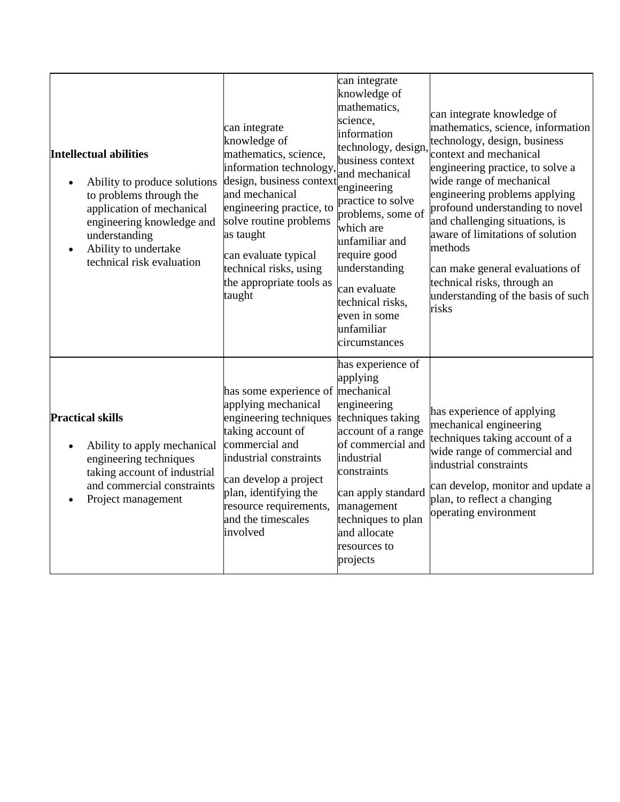| <b>Intellectual abilities</b><br>Ability to produce solutions<br>to problems through the<br>application of mechanical<br>engineering knowledge and<br>understanding<br>Ability to undertake<br>technical risk evaluation | can integrate<br>knowledge of<br>mathematics, science,<br>information technology,<br>design, business context<br>and mechanical<br>engineering practice, to<br>solve routine problems<br>as taught<br>can evaluate typical<br>technical risks, using<br>the appropriate tools as<br>taught | can integrate<br>knowledge of<br>mathematics,<br>science,<br>information<br>technology, design,<br>business context<br>and mechanical<br>engineering<br>practice to solve<br>problems, some of<br>which are<br>unfamiliar and<br>require good<br>understanding<br>can evaluate<br>technical risks,<br>even in some<br>unfamiliar<br>circumstances | can integrate knowledge of<br>mathematics, science, information<br>technology, design, business<br>context and mechanical<br>engineering practice, to solve a<br>wide range of mechanical<br>engineering problems applying<br>profound understanding to novel<br>and challenging situations, is<br>aware of limitations of solution<br>methods<br>can make general evaluations of<br>technical risks, through an<br>understanding of the basis of such<br>risks |
|--------------------------------------------------------------------------------------------------------------------------------------------------------------------------------------------------------------------------|--------------------------------------------------------------------------------------------------------------------------------------------------------------------------------------------------------------------------------------------------------------------------------------------|---------------------------------------------------------------------------------------------------------------------------------------------------------------------------------------------------------------------------------------------------------------------------------------------------------------------------------------------------|-----------------------------------------------------------------------------------------------------------------------------------------------------------------------------------------------------------------------------------------------------------------------------------------------------------------------------------------------------------------------------------------------------------------------------------------------------------------|
| <b>Practical skills</b><br>Ability to apply mechanical<br>engineering techniques<br>taking account of industrial<br>and commercial constraints<br>Project management                                                     | has some experience of mechanical<br>applying mechanical<br>engineering techniques<br>taking account of<br>commercial and<br>industrial constraints<br>can develop a project<br>plan, identifying the<br>resource requirements,<br>and the timescales<br>involved                          | has experience of<br>applying<br>engineering<br>techniques taking<br>account of a range<br>of commercial and<br>industrial<br>constraints<br>can apply standard<br>management<br>techniques to plan<br>and allocate<br>resources to<br>projects                                                                                                   | has experience of applying<br>mechanical engineering<br>techniques taking account of a<br>wide range of commercial and<br>industrial constraints<br>can develop, monitor and update a<br>plan, to reflect a changing<br>operating environment                                                                                                                                                                                                                   |